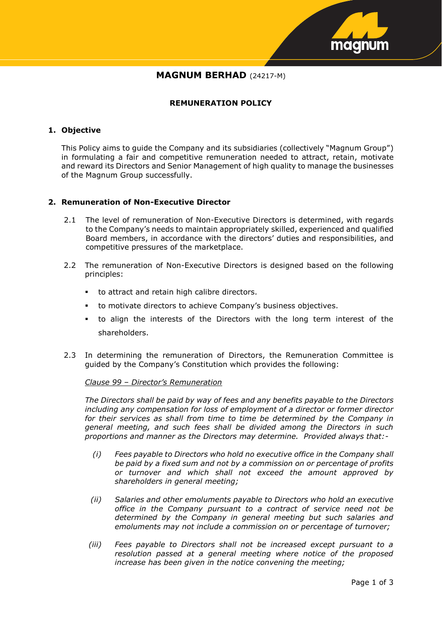

# **MAGNUM BERHAD** (24217-M)

# **REMUNERATION POLICY**

# **1. Objective**

This Policy aims to guide the Company and its subsidiaries (collectively "Magnum Group") in formulating a fair and competitive remuneration needed to attract, retain, motivate and reward its Directors and Senior Management of high quality to manage the businesses of the Magnum Group successfully.

#### **2. Remuneration of Non-Executive Director**

- 2.1 The level of remuneration of Non-Executive Directors is determined, with regards to the Company's needs to maintain appropriately skilled, experienced and qualified Board members, in accordance with the directors' duties and responsibilities, and competitive pressures of the marketplace.
- 2.2 The remuneration of Non-Executive Directors is designed based on the following principles:
	- to attract and retain high calibre directors.
	- to motivate directors to achieve Company's business objectives.
	- to align the interests of the Directors with the long term interest of the shareholders.
- 2.3 In determining the remuneration of Directors, the Remuneration Committee is guided by the Company's Constitution which provides the following:

#### *Clause 99 – Director's Remuneration*

*The Directors shall be paid by way of fees and any benefits payable to the Directors including any compensation for loss of employment of a director or former director for their services as shall from time to time be determined by the Company in general meeting, and such fees shall be divided among the Directors in such proportions and manner as the Directors may determine. Provided always that:-*

- *(i) Fees payable to Directors who hold no executive office in the Company shall be paid by a fixed sum and not by a commission on or percentage of profits or turnover and which shall not exceed the amount approved by shareholders in general meeting;*
- *(ii) Salaries and other emoluments payable to Directors who hold an executive office in the Company pursuant to a contract of service need not be determined by the Company in general meeting but such salaries and emoluments may not include a commission on or percentage of turnover;*
- *(iii) Fees payable to Directors shall not be increased except pursuant to a resolution passed at a general meeting where notice of the proposed increase has been given in the notice convening the meeting;*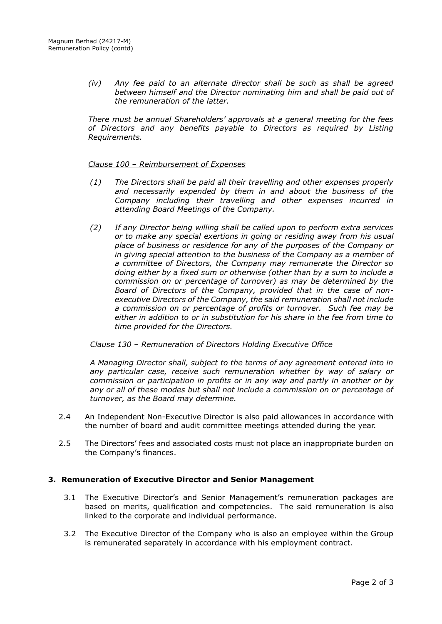*(iv) Any fee paid to an alternate director shall be such as shall be agreed between himself and the Director nominating him and shall be paid out of the remuneration of the latter.*

*There must be annual Shareholders' approvals at a general meeting for the fees of Directors and any benefits payable to Directors as required by Listing Requirements.*

#### *Clause 100 – Reimbursement of Expenses*

- *(1) The Directors shall be paid all their travelling and other expenses properly and necessarily expended by them in and about the business of the Company including their travelling and other expenses incurred in attending Board Meetings of the Company.*
- *(2) If any Director being willing shall be called upon to perform extra services or to make any special exertions in going or residing away from his usual place of business or residence for any of the purposes of the Company or in giving special attention to the business of the Company as a member of a committee of Directors, the Company may remunerate the Director so doing either by a fixed sum or otherwise (other than by a sum to include a commission on or percentage of turnover) as may be determined by the Board of Directors of the Company, provided that in the case of nonexecutive Directors of the Company, the said remuneration shall not include a commission on or percentage of profits or turnover. Such fee may be either in addition to or in substitution for his share in the fee from time to time provided for the Directors.*

#### *Clause 130 – Remuneration of Directors Holding Executive Office*

*A Managing Director shall, subject to the terms of any agreement entered into in any particular case, receive such remuneration whether by way of salary or commission or participation in profits or in any way and partly in another or by any or all of these modes but shall not include a commission on or percentage of turnover, as the Board may determine.*

- 2.4 An Independent Non-Executive Director is also paid allowances in accordance with the number of board and audit committee meetings attended during the year.
- 2.5 The Directors' fees and associated costs must not place an inappropriate burden on the Company's finances.

# **3. Remuneration of Executive Director and Senior Management**

- 3.1 The Executive Director's and Senior Management's remuneration packages are based on merits, qualification and competencies. The said remuneration is also linked to the corporate and individual performance.
- 3.2 The Executive Director of the Company who is also an employee within the Group is remunerated separately in accordance with his employment contract.